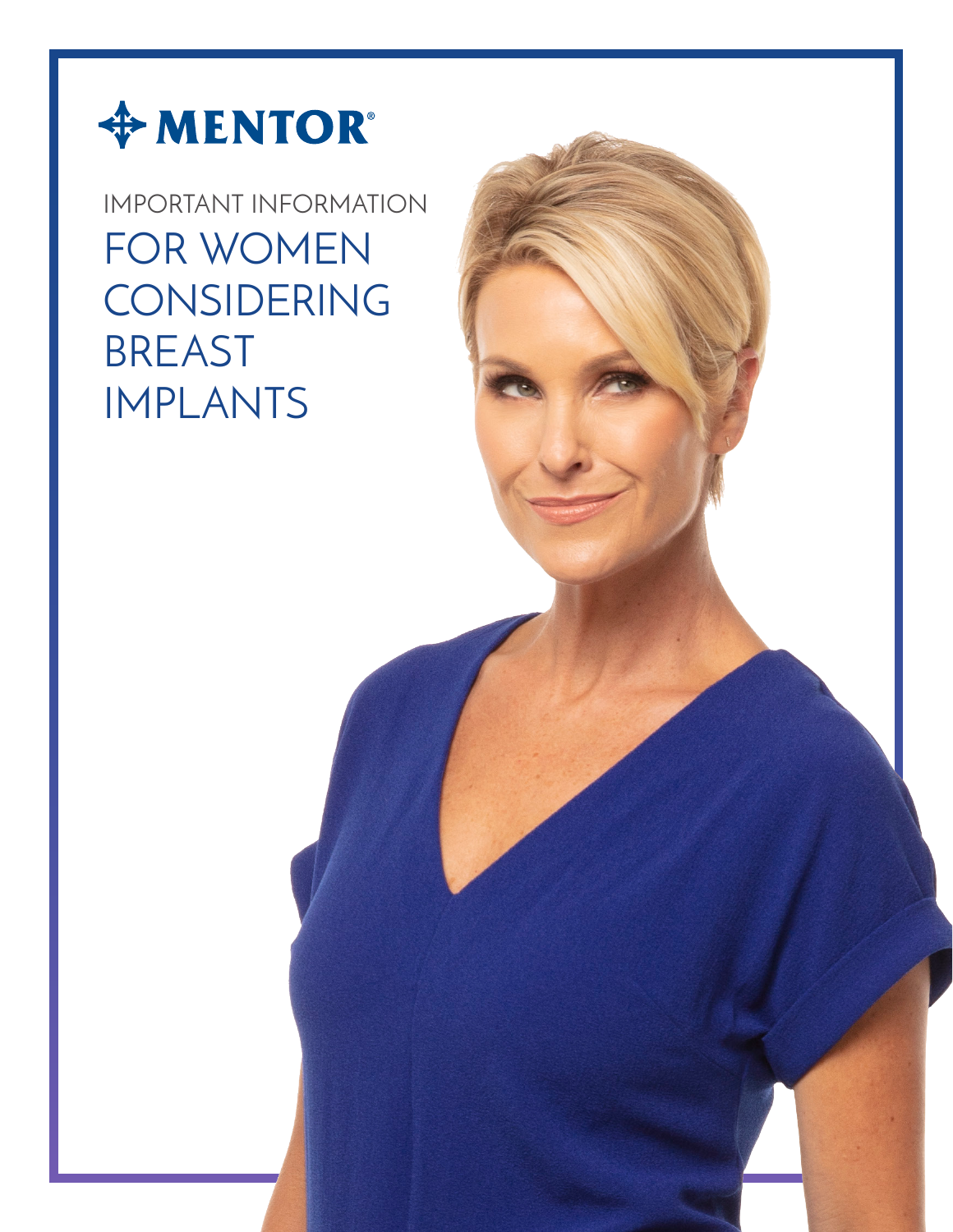

# IMPORTANT INFORMATION FOR WOMEN CONSIDERING BREAST IMPLANTS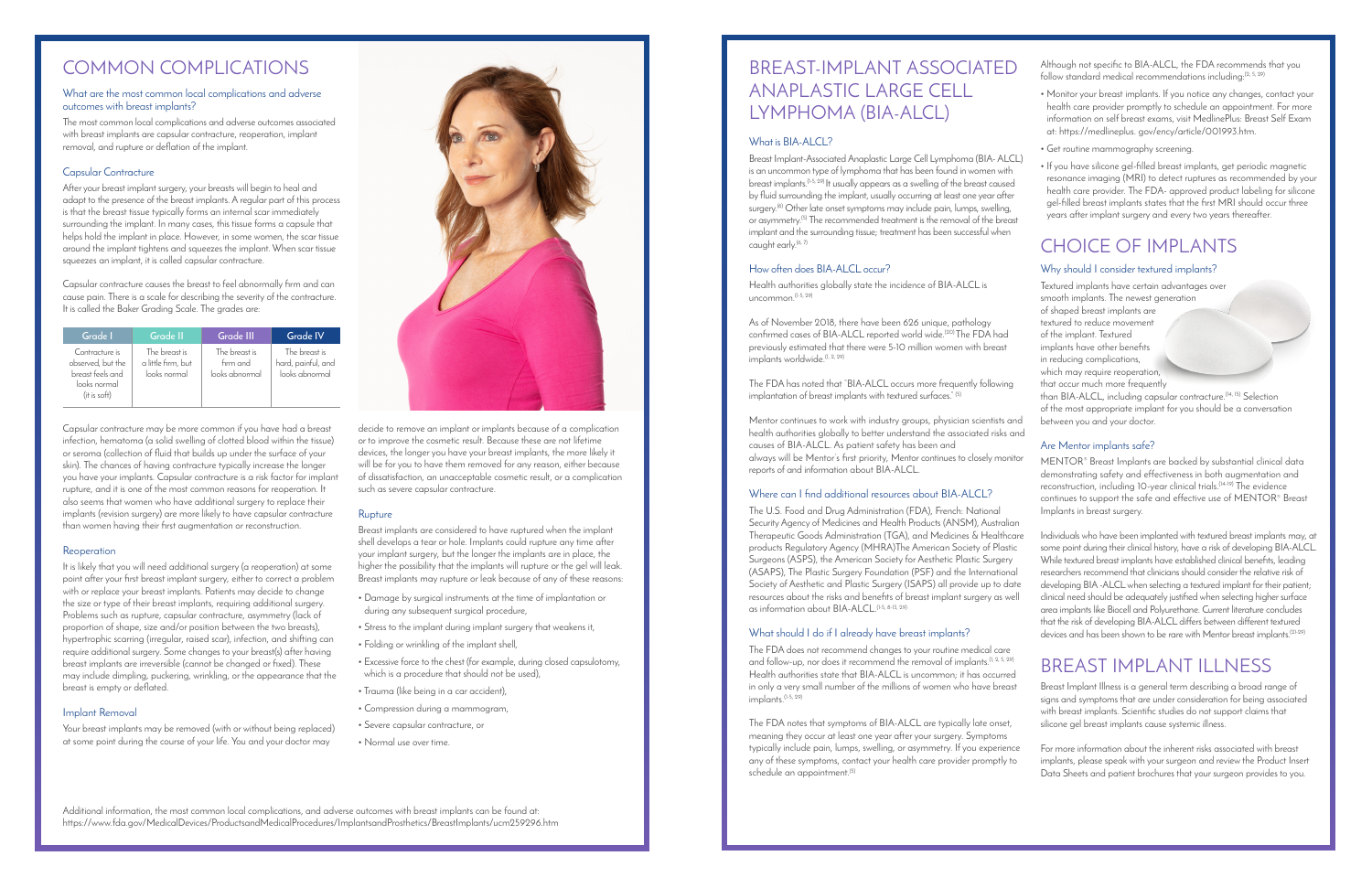#### What are the most common local complications and adverse outcomes with breast implants?

The most common local complications and adverse outcomes associated with breast implants are capsular contracture, reoperation, implant removal, and rupture or deflation of the implant.

#### Capsular Contracture

After your breast implant surgery, your breasts will begin to heal and adapt to the presence of the breast implants. A regular part of this process is that the breast tissue typically forms an internal scar immediately surrounding the implant. In many cases, this tissue forms a capsule that helps hold the implant in place. However, in some women, the scar tissue around the implant tightens and squeezes the implant. When scar tissue squeezes an implant, it is called capsular contracture.

Capsular contracture causes the breast to feel abnormally firm and can cause pain. There is a scale for describing the severity of the contracture. It is called the Baker Grading Scale. The grades are:

Capsular contracture may be more common if you have had a breast infection, hematoma (a solid swelling of clotted blood within the tissue) or seroma (collection of fluid that builds up under the surface of your skin). The chances of having contracture typically increase the longer you have your implants. Capsular contracture is a risk factor for implant rupture, and it is one of the most common reasons for reoperation. It also seems that women who have additional surgery to replace their implants (revision surgery) are more likely to have capsular contracture than women having their first augmentation or reconstruction.

#### Reoperation

It is likely that you will need additional surgery (a reoperation) at some point after your first breast implant surgery, either to correct a problem with or replace your breast implants. Patients may decide to change the size or type of their breast implants, requiring additional surgery. Problems such as rupture, capsular contracture, asymmetry (lack of proportion of shape, size and/or position between the two breasts), hypertrophic scarring (irregular, raised scar), infection, and shifting can require additional surgery. Some changes to your breast(s) after having breast implants are irreversible (cannot be changed or fixed). These may include dimpling, puckering, wrinkling, or the appearance that the breast is empty or deflated.

Breast Implant-Associated Anaplastic Large Cell Lymphoma (BIA- ALCL) is an uncommon type of lymphoma that has been found in women with breast implants.(1-5, 29) It usually appears as a swelling of the breast caused by fluid surrounding the implant, usually occurring at least one year after surgery.<sup>(6)</sup> Other late onset symptoms may include pain, lumps, swelling, or asymmetry.(5) The recommended treatment is the removal of the breast implant and the surrounding tissue; treatment has been successful when caught early.<sup>(6, 7)</sup>

#### Implant Removal

Health authorities globally state the incidence of BIA-ALCL is  $uncommon<sup>(1-5, 29)</sup>$ 

As of November 2018, there have been 626 unique, pathology confirmed cases of BIA-ALCL reported world wide.<sup>(20)</sup> The FDA had previously estimated that there were 5-10 million women with breast implants worldwide.<sup>(1, 2, 29)</sup>

Your breast implants may be removed (with or without being replaced) at some point during the course of your life. You and your doctor may



| Grade I                                                                                 | Grade II                                            | Grade III                                   | <b>Grade IV</b>                                       |
|-----------------------------------------------------------------------------------------|-----------------------------------------------------|---------------------------------------------|-------------------------------------------------------|
| Contracture is<br>observed, but the<br>breast feels and<br>looks normal<br>(it is soft) | The breast is<br>a little firm, but<br>looks normal | The breast is<br>firm and<br>looks abnormal | The breast is<br>hard, painful, and<br>looks abnormal |

decide to remove an implant or implants because of a complication or to improve the cosmetic result. Because these are not lifetime devices, the longer you have your breast implants, the more likely it will be for you to have them removed for any reason, either because of dissatisfaction, an unacceptable cosmetic result, or a complication such as severe capsular contracture.

#### Rupture

Breast implants are considered to have ruptured when the implant shell develops a tear or hole. Implants could rupture any time after your implant surgery, but the longer the implants are in place, the higher the possibility that the implants will rupture or the gel will leak. Breast implants may rupture or leak because of any of these reasons:

- Damage by surgical instruments at the time of implantation or during any subsequent surgical procedure,
- Stress to the implant during implant surgery that weakens it,
- Folding or wrinkling of the implant shell,
- Excessive force to the chest (for example, during closed capsulotomy, which is a procedure that should not be used),
- Trauma (like being in a car accident),
- Compression during a mammogram,
- Severe capsular contracture, or
- Normal use over time.

Additional information, the most common local complications, and adverse outcomes with breast implants can be found at: https://www.fda.gov/MedicalDevices/ProductsandMedicalProcedures/ImplantsandProsthetics/BreastImplants/ucm259296.htm

### COMMON COMPLICATIONS

#### What is BIA-ALCL?

Individuals who have been implanted with textured breast implants may, at some point during their clinical history, have a risk of developing BIA-ALCL. While textured breast implants have established clinical benefits, leading researchers recommend that clinicians should consider the relative risk of developing BIA -ALCL when selecting a textured implant for their patient; clinical need should be adequately justified when selecting higher surface area implants like Biocell and Polyurethane. Current literature concludes that the risk of developing BIA-ALCL differs between different textured devices and has been shown to be rare with Mentor breast implants.<sup>(21-29)</sup>

## BREAST IMPLANT ILLNESS

#### How often does BIA-ALCL occur?

The FDA has noted that "BIA-ALCL occurs more frequently following implantation of breast implants with textured surfaces." (5)

Mentor continues to work with industry groups, physician scientists and health authorities globally to better understand the associated risks and causes of BIA-ALCL. As patient safety has been and always will be Mentor's first priority, Mentor continues to closely monitor reports of and information about BIA-ALCL.

#### Where can I find additional resources about BIA-ALCL?

The U.S. Food and Drug Administration (FDA), French: National Security Agency of Medicines and Health Products (ANSM), Australian Therapeutic Goods Administration (TGA), and Medicines & Healthcare products Regulatory Agency (MHRA)The American Society of Plastic Surgeons (ASPS), the American Society for Aesthetic Plastic Surgery (ASAPS), The Plastic Surgery Foundation (PSF) and the International Society of Aesthetic and Plastic Surgery (ISAPS) all provide up to date resources about the risks and benefits of breast implant surgery as well as information about BIA-ALCL.(1-5, 8-13, 29)

### What should I do if I already have breast implants?

The FDA does not recommend changes to your routine medical care and follow-up, nor does it recommend the removal of implants.<sup>(1, 2, 5, 29)</sup> Health authorities state that BIA-ALCL is uncommon; it has occurred in only a very small number of the millions of women who have breast implants.(1-5, 29)

Although not specific to BIA-ALCL, the FDA recommends that you follow standard medical recommendations including:(2, 5, 29)

- Monitor your breast implants. If you notice any changes, contact your health care provider promptly to schedule an appointment. For more information on self breast exams, visit MedlinePlus: Breast Self Exam at: https://medlineplus. gov/ency/article/001993.htm.
- Get routine mammography screening.
- If you have silicone gel-filled breast implants, get periodic magnetic resonance imaging (MRI) to detect ruptures as recommended by your health care provider. The FDA- approved product labeling for silicone gel-filled breast implants states that the first MRI should occur three years after implant surgery and every two years thereafter.

The FDA notes that symptoms of BIA-ALCL are typically late onset, meaning they occur at least one year after your surgery. Symptoms typically include pain, lumps, swelling, or asymmetry. If you experience any of these symptoms, contact your health care provider promptly to schedule an appointment.<sup>(5)</sup> silicone gel breast implants cause systemic illness. For more information about the inherent risks associated with breast implants, please speak with your surgeon and review the Product Insert Data Sheets and patient brochures that your surgeon provides to you.

Breast Implant Illness is a general term describing a broad range of signs and symptoms that are under consideration for being associated with breast implants. Scientific studies do not support claims that

### Why should I consider textured implants?

Textured implants have certain advantages over smooth implants. The newest generation of shaped breast implants are textured to reduce movement of the implant. Textured implants have other benefits in reducing complications, which may require reoperation, that occur much more frequently than BIA-ALCL, including capsular contracture.(14, 15) Selection

of the most appropriate implant for you should be a conversation between you and your doctor.

### Are Mentor implants safe?

MENTOR® Breast Implants are backed by substantial clinical data demonstrating safety and effectiveness in both augmentation and reconstruction, including 10-year clinical trials.(14-19) The evidence continues to support the safe and effective use of MENTOR® Breast Implants in breast surgery.

### BREAST-IMPLANT ASSOCIATED ANAPLASTIC LARGE CELL LYMPHOMA (BIA-ALCL)

## CHOICE OF IMPLANTS